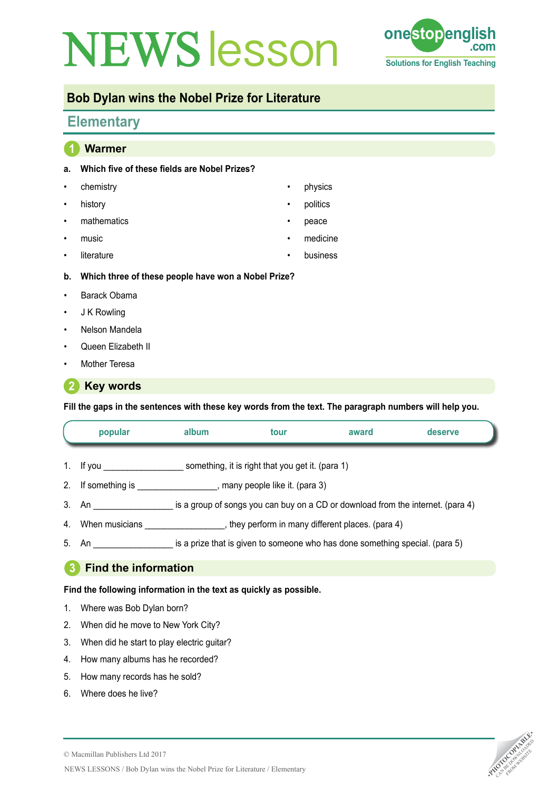# **NEWS esson one stop english Tea**



## **Bob Dylan wins the Nobel Prize for Literature**

# **Elementary**

| 1              | <b>Warmer</b>                                       |           |          |
|----------------|-----------------------------------------------------|-----------|----------|
| a.             | Which five of these fields are Nobel Prizes?        |           |          |
| ٠              | chemistry                                           | $\bullet$ | physics  |
| ٠              | history                                             | $\bullet$ | politics |
| ٠              | mathematics                                         | $\bullet$ | peace    |
| ٠              | music                                               | $\bullet$ | medicine |
| $\bullet$      | literature                                          | $\bullet$ | business |
| b.             | Which three of these people have won a Nobel Prize? |           |          |
| ٠              | Barack Obama                                        |           |          |
| $\bullet$      | J K Rowling                                         |           |          |
| $\bullet$      | Nelson Mandela                                      |           |          |
| $\bullet$      | Queen Elizabeth II                                  |           |          |
| ٠              | Mother Teresa                                       |           |          |
| $\overline{2}$ | <b>Key words</b>                                    |           |          |

**Fill the gaps in the sentences with these key words from the text. The paragraph numbers will help you.**

|                                                                    | popular                                                                                    | album | tour | award | deserve |  |  |  |  |
|--------------------------------------------------------------------|--------------------------------------------------------------------------------------------|-------|------|-------|---------|--|--|--|--|
|                                                                    | 1. If you something, it is right that you get it. (para 1)                                 |       |      |       |         |  |  |  |  |
|                                                                    | 2. If something is ____________________, many people like it. (para 3)                     |       |      |       |         |  |  |  |  |
|                                                                    | 3. An same is a group of songs you can buy on a CD or download from the internet. (para 4) |       |      |       |         |  |  |  |  |
|                                                                    |                                                                                            |       |      |       |         |  |  |  |  |
|                                                                    | 5. An state is a prize that is given to someone who has done something special. (para 5)   |       |      |       |         |  |  |  |  |
| $\mathbf{3}$<br><b>Find the information</b>                        |                                                                                            |       |      |       |         |  |  |  |  |
| Find the following information in the text as quickly as possible. |                                                                                            |       |      |       |         |  |  |  |  |

- 1. Where was Bob Dylan born?
- 2. When did he move to New York City?
- 3. When did he start to play electric guitar?
- 4. How many albums has he recorded?
- 5. How many records has he sold?
- 6. Where does he live?

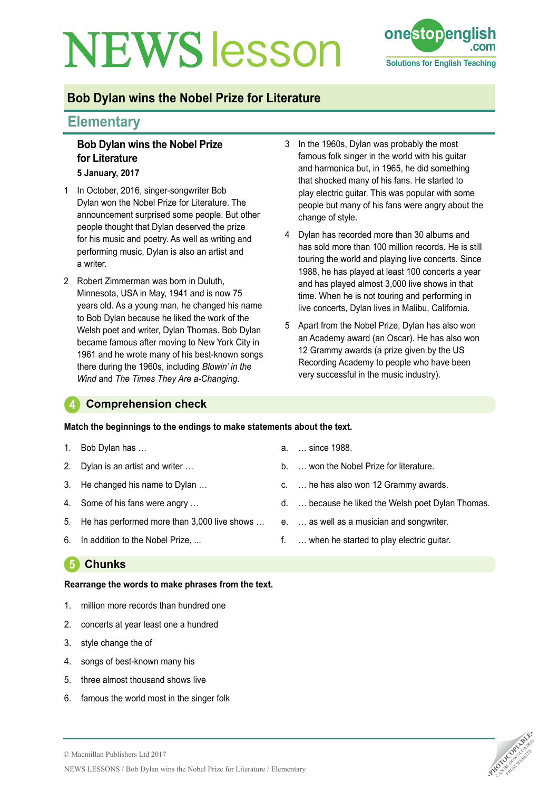# **NEWS esson one stoppeng**



# **Bob Dylan wins the Nobel Prize for Literature**

### **Elementary**

# **Bob Dylan wins the Nobel Prize for Literature**

- **5 January, 2017**
- 1 In October, 2016, singer-songwriter Bob Dylan won the Nobel Prize for Literature. The announcement surprised some people. But other people thought that Dylan deserved the prize for his music and poetry. As well as writing and performing music, Dylan is also an artist and a writer.
- 2 Robert Zimmerman was born in Duluth, Minnesota, USA in May, 1941 and is now 75 years old. As a young man, he changed his name to Bob Dylan because he liked the work of the Welsh poet and writer, Dylan Thomas. Bob Dylan became famous after moving to New York City in 1961 and he wrote many of his best-known songs there during the 1960s, including *Blowin' in the Wind* and *The Times They Are a-Changing*.
- 3 In the 1960s, Dylan was probably the most famous folk singer in the world with his guitar and harmonica but, in 1965, he did something that shocked many of his fans. He started to play electric guitar. This was popular with some people but many of his fans were angry about the change of style.
- 4 Dylan has recorded more than 30 albums and has sold more than 100 million records. He is still touring the world and playing live concerts. Since 1988, he has played at least 100 concerts a year and has played almost 3,000 live shows in that time. When he is not touring and performing in live concerts, Dylan lives in Malibu, California.
- 5 Apart from the Nobel Prize, Dylan has also won an Academy award (an Oscar). He has also won 12 Grammy awards (a prize given by the US Recording Academy to people who have been very successful in the music industry).

#### **4 Comprehension check**

#### **Match the beginnings to the endings to make statements about the text.**

- 1. Bob Dylan has …
- 2. Dylan is an artist and writer …
- 3. He changed his name to Dylan …
- 4. Some of his fans were angry …
- 5. He has performed more than 3,000 live shows …
- 6. In addition to the Nobel Prize, ...

### **5 Chunks**

#### **Rearrange the words to make phrases from the text.**

- 1. million more records than hundred one
- 2. concerts at year least one a hundred
- 3. style change the of
- 4. songs of best-known many his
- 5. three almost thousand shows live
- 6. famous the world most in the singer folk
- a. … since 1988.
- b. … won the Nobel Prize for literature.
- c. … he has also won 12 Grammy awards.
- d. … because he liked the Welsh poet Dylan Thomas.
- e. … as well as a musician and songwriter.
- f. … when he started to play electric guitar.

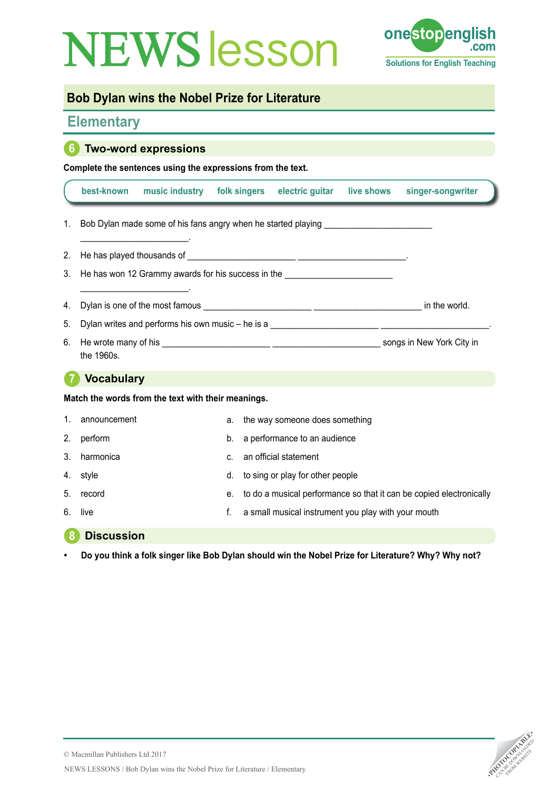# **NEWS esson one stop english come**



## **Bob Dylan wins the Nobel Prize for Literature**

### **Elementary**

### **6 Two-word expressions**

**Complete the sentences using the expressions from the text.**

|                                                    | best-known                                                                                                                                                                                                                                            | music industry | folk singers |                                                                     | electric guitar                | live shows | singer-songwriter |  |  |  |
|----------------------------------------------------|-------------------------------------------------------------------------------------------------------------------------------------------------------------------------------------------------------------------------------------------------------|----------------|--------------|---------------------------------------------------------------------|--------------------------------|------------|-------------------|--|--|--|
| 1.                                                 | Bob Dylan made some of his fans angry when he started playing <b>EXECUTE:</b> Notice that the started playing                                                                                                                                         |                |              |                                                                     |                                |            |                   |  |  |  |
| 2.                                                 |                                                                                                                                                                                                                                                       |                |              |                                                                     |                                |            |                   |  |  |  |
| 3.                                                 | He has won 12 Grammy awards for his success in the _____________________________                                                                                                                                                                      |                |              |                                                                     |                                |            |                   |  |  |  |
| 4.                                                 | <u> 1989 - Johann Stoff, deutscher Stoffen und der Stoffen und der Stoffen und der Stoffen und der Stoffen und der Stoffen und der Stoffen und der Stoffen und der Stoffen und der Stoffen und der Stoffen und der Stoffen und d</u><br>in the world. |                |              |                                                                     |                                |            |                   |  |  |  |
| 5.                                                 |                                                                                                                                                                                                                                                       |                |              |                                                                     |                                |            |                   |  |  |  |
| 6.                                                 | the 1960s.                                                                                                                                                                                                                                            |                |              |                                                                     |                                |            |                   |  |  |  |
|                                                    | <b>Vocabulary</b>                                                                                                                                                                                                                                     |                |              |                                                                     |                                |            |                   |  |  |  |
| Match the words from the text with their meanings. |                                                                                                                                                                                                                                                       |                |              |                                                                     |                                |            |                   |  |  |  |
| 1.                                                 | announcement                                                                                                                                                                                                                                          |                | a.           |                                                                     | the way someone does something |            |                   |  |  |  |
| 2.                                                 | perform                                                                                                                                                                                                                                               |                | b.           | a performance to an audience                                        |                                |            |                   |  |  |  |
| 3.                                                 | harmonica                                                                                                                                                                                                                                             |                | C.           | an official statement                                               |                                |            |                   |  |  |  |
| 4.                                                 | style                                                                                                                                                                                                                                                 |                | d.           | to sing or play for other people                                    |                                |            |                   |  |  |  |
| 5.                                                 | record                                                                                                                                                                                                                                                |                | e.           | to do a musical performance so that it can be copied electronically |                                |            |                   |  |  |  |
| 6.                                                 | live                                                                                                                                                                                                                                                  |                | f.           | a small musical instrument you play with your mouth                 |                                |            |                   |  |  |  |

#### **8 Discussion**

**• Do you think a folk singer like Bob Dylan should win the Nobel Prize for Literature? Why? Why not?**